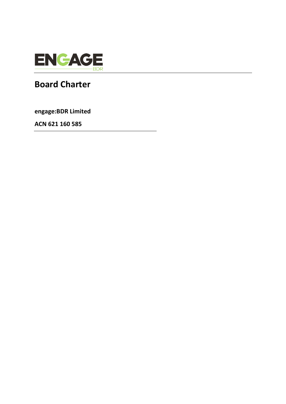

# **Board Charter**

**engage:BDR Limited**

**ACN 621 160 585**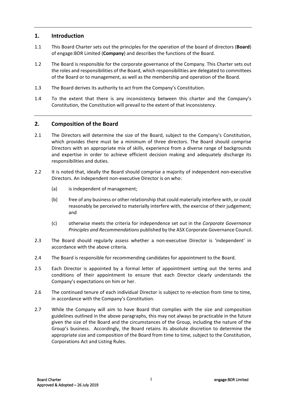# **1. Introduction**

- 1.1 This Board Charter sets out the principles for the operation of the board of directors (**Board**) of engage:BDR Limited (**Company**) and describes the functions of the Board.
- 1.2 The Board is responsible for the corporate governance of the Company. This Charter sets out the roles and responsibilities of the Board, which responsibilities are delegated to committees of the Board or to management, as well as the membership and operation of the Board.
- 1.3 The Board derives its authority to act from the Company's Constitution.
- 1.4 To the extent that there is any inconsistency between this charter and the Company's Constitution, the Constitution will prevail to the extent of that inconsistency.

# **2. Composition of the Board**

- 2.1 The Directors will determine the size of the Board, subject to the Company's Constitution, which provides there must be a minimum of three directors. The Board should comprise Directors with an appropriate mix of skills, experience from a diverse range of backgrounds and expertise in order to achieve efficient decision making and adequately discharge its responsibilities and duties.
- 2.2 It is noted that, ideally the Board should comprise a majority of independent non-executive Directors. An independent non-executive Director is on who:
	- (a) is independent of management;
	- (b) free of any business or other relationship that could materially interfere with, or could reasonably be perceived to materially interfere with, the exercise of their judgement; and
	- (c) otherwise meets the criteria for independence set out in the *Corporate Governance Principles and Recommendations* published by the ASX Corporate Governance Council.
- 2.3 The Board should regularly assess whether a non-executive Director is 'independent' in accordance with the above criteria.
- 2.4 The Board is responsible for recommending candidates for appointment to the Board.
- 2.5 Each Director is appointed by a formal letter of appointment setting out the terms and conditions of their appointment to ensure that each Director clearly understands the Company's expectations on him or her.
- 2.6 The continued tenure of each individual Director is subject to re-election from time to time, in accordance with the Company's Constitution.
- 2.7 While the Company will aim to have Board that complies with the size and composition guidelines outlined in the above paragraphs, this may not always be practicable in the future given the size of the Board and the circumstances of the Group, including the nature of the Group's business. Accordingly, the Board retains its absolute discretion to determine the appropriate size and composition of the Board from time to time, subject to the Constitution, Corporations Act and Listing Rules.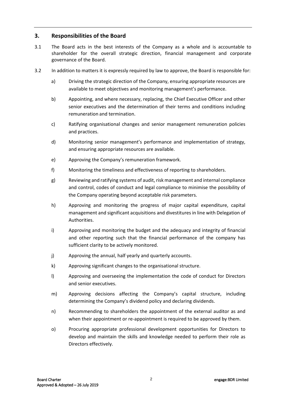# **3. Responsibilities of the Board**

- 3.1 The Board acts in the best interests of the Company as a whole and is accountable to shareholder for the overall strategic direction, financial management and corporate governance of the Board.
- 3.2 In addition to matters it is expressly required by law to approve, the Board is responsible for:
	- a) Driving the strategic direction of the Company, ensuring appropriate resources are available to meet objectives and monitoring management's performance.
	- b) Appointing, and where necessary, replacing, the Chief Executive Officer and other senior executives and the determination of their terms and conditions including remuneration and termination.
	- c) Ratifying organisational changes and senior management remuneration policies and practices.
	- d) Monitoring senior management's performance and implementation of strategy, and ensuring appropriate resources are available.
	- e) Approving the Company's remuneration framework.
	- f) Monitoring the timeliness and effectiveness of reporting to shareholders.
	- g) Reviewing and ratifying systems of audit, risk management and internal compliance and control, codes of conduct and legal compliance to minimise the possibility of the Company operating beyond acceptable risk parameters.
	- h) Approving and monitoring the progress of major capital expenditure, capital management and significant acquisitions and divestitures in line with Delegation of Authorities.
	- i) Approving and monitoring the budget and the adequacy and integrity of financial and other reporting such that the financial performance of the company has sufficient clarity to be actively monitored.
	- j) Approving the annual, half yearly and quarterly accounts.
	- k) Approving significant changes to the organisational structure.
	- l) Approving and overseeing the implementation the code of conduct for Directors and senior executives.
	- m) Approving decisions affecting the Company's capital structure, including determining the Company's dividend policy and declaring dividends.
	- n) Recommending to shareholders the appointment of the external auditor as and when their appointment or re-appointment is required to be approved by them.
	- o) Procuring appropriate professional development opportunities for Directors to develop and maintain the skills and knowledge needed to perform their role as Directors effectively.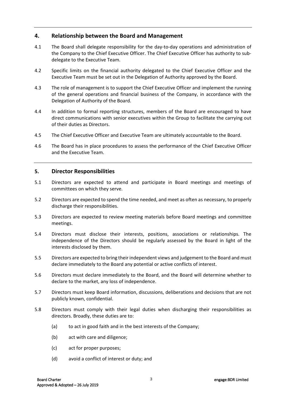# **4. Relationship between the Board and Management**

- 4.1 The Board shall delegate responsibility for the day-to-day operations and administration of the Company to the Chief Executive Officer. The Chief Executive Officer has authority to subdelegate to the Executive Team.
- 4.2 Specific limits on the financial authority delegated to the Chief Executive Officer and the Executive Team must be set out in the Delegation of Authority approved by the Board.
- 4.3 The role of management is to support the Chief Executive Officer and implement the running of the general operations and financial business of the Company, in accordance with the Delegation of Authority of the Board.
- 4.4 In addition to formal reporting structures, members of the Board are encouraged to have direct communications with senior executives within the Group to facilitate the carrying out of their duties as Directors.
- 4.5 The Chief Executive Officer and Executive Team are ultimately accountable to the Board.
- 4.6 The Board has in place procedures to assess the performance of the Chief Executive Officer and the Executive Team.

# **5. Director Responsibilities**

- 5.1 Directors are expected to attend and participate in Board meetings and meetings of committees on which they serve.
- 5.2 Directors are expected to spend the time needed, and meet as often as necessary, to properly discharge their responsibilities.
- 5.3 Directors are expected to review meeting materials before Board meetings and committee meetings.
- 5.4 Directors must disclose their interests, positions, associations or relationships. The independence of the Directors should be regularly assessed by the Board in light of the interests disclosed by them.
- 5.5 Directors are expected to bring their independent views and judgement to the Board and must declare immediately to the Board any potential or active conflicts of interest.
- 5.6 Directors must declare immediately to the Board, and the Board will determine whether to declare to the market, any loss of independence.
- 5.7 Directors must keep Board information, discussions, deliberations and decisions that are not publicly known, confidential.
- 5.8 Directors must comply with their legal duties when discharging their responsibilities as directors. Broadly, these duties are to:
	- (a) to act in good faith and in the best interests of the Company;
	- (b) act with care and diligence;
	- (c) act for proper purposes;
	- (d) avoid a conflict of interest or duty; and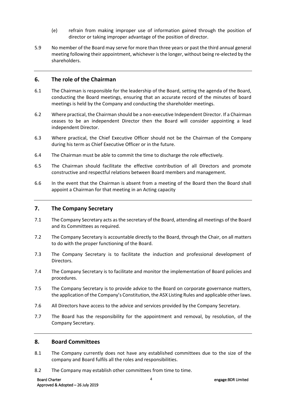- (e) refrain from making improper use of information gained through the position of director or taking improper advantage of the position of director.
- 5.9 No member of the Board may serve for more than three years or past the third annual general meeting following their appointment, whichever is the longer, without being re-elected by the shareholders.

## **6. The role of the Chairman**

- 6.1 The Chairman is responsible for the leadership of the Board, setting the agenda of the Board, conducting the Board meetings, ensuring that an accurate record of the minutes of board meetings is held by the Company and conducting the shareholder meetings.
- 6.2 Where practical, the Chairman should be a non-executive Independent Director. If a Chairman ceases to be an independent Director then the Board will consider appointing a lead independent Director.
- 6.3 Where practical, the Chief Executive Officer should not be the Chairman of the Company during his term as Chief Executive Officer or in the future.
- 6.4 The Chairman must be able to commit the time to discharge the role effectively.
- 6.5 The Chairman should facilitate the effective contribution of all Directors and promote constructive and respectful relations between Board members and management.
- 6.6 In the event that the Chairman is absent from a meeting of the Board then the Board shall appoint a Chairman for that meeting in an Acting capacity

#### **7. The Company Secretary**

- 7.1 The Company Secretary acts as the secretary of the Board, attending all meetings of the Board and its Committees as required.
- 7.2 The Company Secretary is accountable directly to the Board, through the Chair, on all matters to do with the proper functioning of the Board.
- 7.3 The Company Secretary is to facilitate the induction and professional development of Directors.
- 7.4 The Company Secretary is to facilitate and monitor the implementation of Board policies and procedures.
- 7.5 The Company Secretary is to provide advice to the Board on corporate governance matters, the application of the Company's Constitution, the ASX Listing Rules and applicable other laws.
- 7.6 All Directors have access to the advice and services provided by the Company Secretary.
- 7.7 The Board has the responsibility for the appointment and removal, by resolution, of the Company Secretary.

#### **8. Board Committees**

- 8.1 The Company currently does not have any established committees due to the size of the company and Board fulfils all the roles and responsibilities.
- 8.2 The Company may establish other committees from time to time.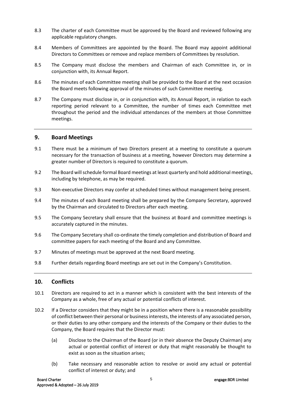- 8.3 The charter of each Committee must be approved by the Board and reviewed following any applicable regulatory changes.
- 8.4 Members of Committees are appointed by the Board. The Board may appoint additional Directors to Committees or remove and replace members of Committees by resolution.
- 8.5 The Company must disclose the members and Chairman of each Committee in, or in conjunction with, its Annual Report.
- 8.6 The minutes of each Committee meeting shall be provided to the Board at the next occasion the Board meets following approval of the minutes of such Committee meeting.
- 8.7 The Company must disclose in, or in conjunction with, its Annual Report, in relation to each reporting period relevant to a Committee, the number of times each Committee met throughout the period and the individual attendances of the members at those Committee meetings.

#### **9. Board Meetings**

- 9.1 There must be a minimum of two Directors present at a meeting to constitute a quorum necessary for the transaction of business at a meeting, however Directors may determine a greater number of Directors is required to constitute a quorum.
- 9.2 The Board will schedule formal Board meetings at least quarterly and hold additional meetings, including by telephone, as may be required.
- 9.3 Non-executive Directors may confer at scheduled times without management being present.
- 9.4 The minutes of each Board meeting shall be prepared by the Company Secretary, approved by the Chairman and circulated to Directors after each meeting.
- 9.5 The Company Secretary shall ensure that the business at Board and committee meetings is accurately captured in the minutes.
- 9.6 The Company Secretary shall co-ordinate the timely completion and distribution of Board and committee papers for each meeting of the Board and any Committee.
- 9.7 Minutes of meetings must be approved at the next Board meeting.
- 9.8 Further details regarding Board meetings are set out in the Company's Constitution.

## **10. Conflicts**

- 10.1 Directors are required to act in a manner which is consistent with the best interests of the Company as a whole, free of any actual or potential conflicts of interest.
- 10.2 If a Director considers that they might be in a position where there is a reasonable possibility of conflict between their personal or business interests, the interests of any associated person, or their duties to any other company and the interests of the Company or their duties to the Company, the Board requires that the Director must:
	- (a) Disclose to the Chairman of the Board (or in their absence the Deputy Chairman) any actual or potential conflict of interest or duty that might reasonably be thought to exist as soon as the situation arises;
	- (b) Take necessary and reasonable action to resolve or avoid any actual or potential conflict of interest or duty; and